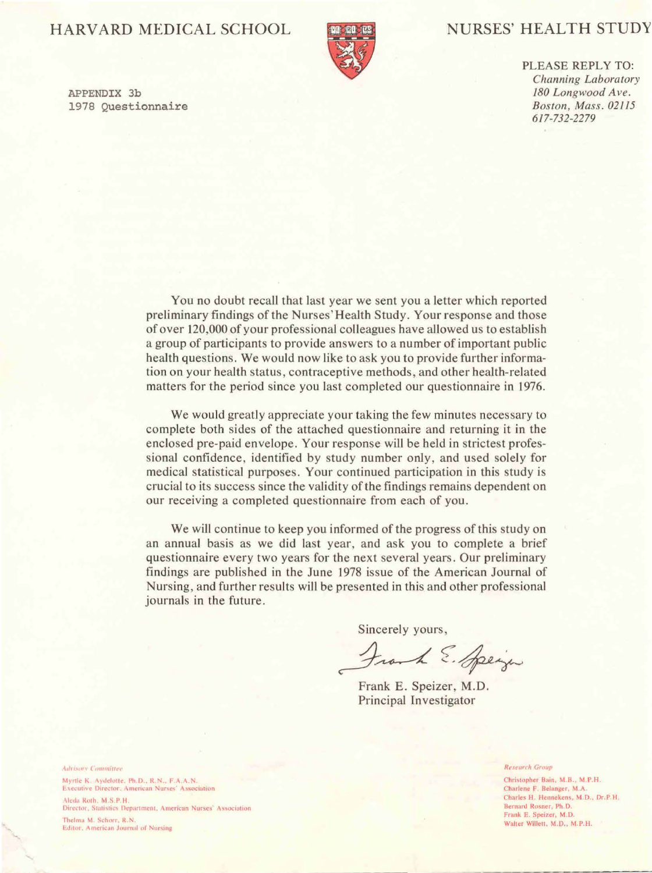APPENDIX 3b 1978 Questionnaire

# HARVARD MEDICAL SCHOOL NURSES' HEALTH STUDY



PLEASE REPLY TO: *Channing Laboratory 180 Longwood Ave. Boston, Mass. 02115 617-732-2279* 

You no doubt recall that last year we sent you a letter which reported preliminary fmdings of the Nurses'Health Study. Your response and those of over 120,000 of your professional colleagues have allowed us to establish a group of participants to provide answers to a number of important public health questions. We would now like to ask you to provide further information on your health status, contraceptive methods, and other health-related matters for the period since you last completed our questionnaire in 1976.

We will continue to keep you informed of the progress of this study on an annual basis as we did last year, and ask you to complete a brief questionnaire every two years for the next several years. Our preliminary findings are published in the June 1978 issue of the American Journal of Nursing, and further results will be presented in this and other professional journals in the future.

Frank E. Speizer, M.D. Principal Investigator

Advisory Committee

Myrtle K. Aydelotte, Ph.D., R.N., F.A.A.N. **Examples Christopher Bain, M.B., M.P.H.** Executive Director, American Nurses' Association Charles F. Belanger, M.A.

Aleda Roth, M.S.P.H. Director, Statistics Department, American Nurses' Association

Thelma M. Schorr, R.N. Editor, American Journal of Nursing

### **Research Group**

Charles H. Hennekens, M.D., Dr.P.H. Bernard Rosner, Ph.D. Frank E. Speizer, M.D. Walter Willett, M.D., M.P.H.

We would greatly appreciate your taking the few minutes necessary to complete both sides of the attached questionnaire and returning it in the enclosed pre-paid envelope. Your response will be held in strictest professional confidence, identified by study number only, and used solely for medical statistical purposes. Your continued participation in this study is crucial to its success since the validity of the findings remains dependent on our receiving a completed questionnaire from each of you.

Sincerely yours,

Frank E. Speign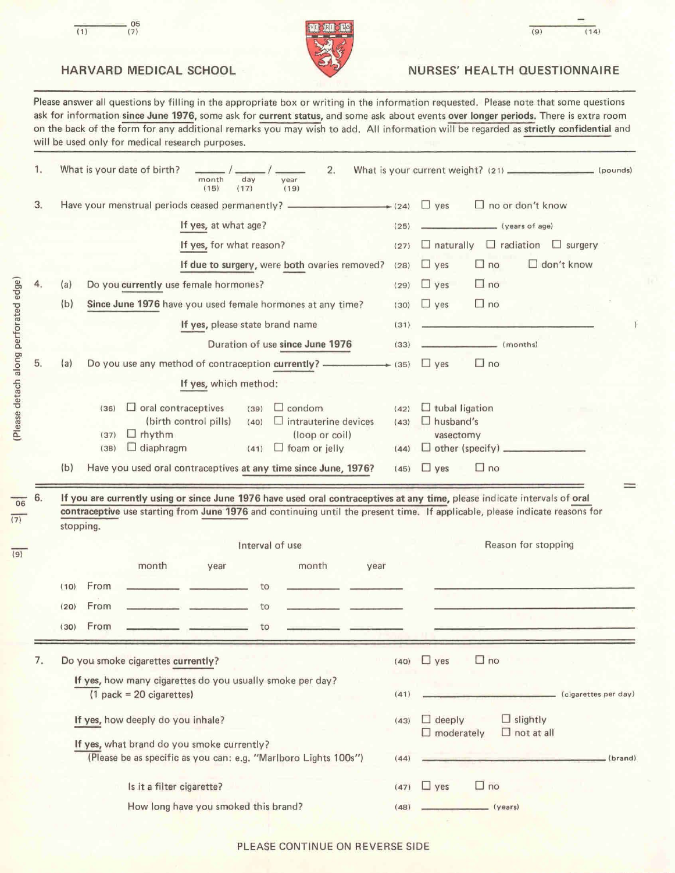



| 05 |                                      |            |
|----|--------------------------------------|------------|
|    | <b>MO BU DA</b>                      | 14)<br>(9) |
|    | <b>THE REAL PROPERTY AND INCOME.</b> |            |

## HARVARD MEDICAL SCHOOL NURSES' HEALTH QUESTIONNAIRE

Please answer all questions by filling in the appropriate box or writing in the information requested. Please note that some questions ask for information since June 1976, some ask for current status, and some ask about events over longer periods. There is extra room on the back of the form for any additional remarks you may wish to add. All information will be regarded as strictly confidential and will be used only for medical research purposes.

|      |                                                                                  |                                                                                                                                                                                                                                                                                                                                                                      | $\Box$ no<br>$(40)$ yes                                                                                                                                                                                                                                                                                                              |  |  |  |  |
|------|----------------------------------------------------------------------------------|----------------------------------------------------------------------------------------------------------------------------------------------------------------------------------------------------------------------------------------------------------------------------------------------------------------------------------------------------------------------|--------------------------------------------------------------------------------------------------------------------------------------------------------------------------------------------------------------------------------------------------------------------------------------------------------------------------------------|--|--|--|--|
| (30) | From<br>to                                                                       |                                                                                                                                                                                                                                                                                                                                                                      |                                                                                                                                                                                                                                                                                                                                      |  |  |  |  |
| (20) | From<br>to                                                                       |                                                                                                                                                                                                                                                                                                                                                                      |                                                                                                                                                                                                                                                                                                                                      |  |  |  |  |
| (10) | From<br>to                                                                       |                                                                                                                                                                                                                                                                                                                                                                      |                                                                                                                                                                                                                                                                                                                                      |  |  |  |  |
|      | month<br>month<br>year<br>year                                                   |                                                                                                                                                                                                                                                                                                                                                                      |                                                                                                                                                                                                                                                                                                                                      |  |  |  |  |
|      |                                                                                  |                                                                                                                                                                                                                                                                                                                                                                      | Reason for stopping                                                                                                                                                                                                                                                                                                                  |  |  |  |  |
| (b)  | Have you used oral contraceptives at any time since June, 1976?                  |                                                                                                                                                                                                                                                                                                                                                                      | $(45)$ $\Box$ yes<br>$\Box$ no                                                                                                                                                                                                                                                                                                       |  |  |  |  |
|      | $\Box$ diaphragm<br>$\Box$ foam or jelly<br>(38)<br>(41)                         | (44)                                                                                                                                                                                                                                                                                                                                                                 | $\Box$ other (specify)                                                                                                                                                                                                                                                                                                               |  |  |  |  |
|      | rhythm<br>$\Box$<br>(loop or coil)<br>(37)                                       |                                                                                                                                                                                                                                                                                                                                                                      | $\Box$ husband's<br>vasectomy                                                                                                                                                                                                                                                                                                        |  |  |  |  |
|      | oral contraceptives<br>condom<br>ப<br>(36)<br>(39)<br>$\Box$                     | (42)                                                                                                                                                                                                                                                                                                                                                                 | $\Box$ tubal ligation                                                                                                                                                                                                                                                                                                                |  |  |  |  |
|      | If yes, which method:                                                            |                                                                                                                                                                                                                                                                                                                                                                      |                                                                                                                                                                                                                                                                                                                                      |  |  |  |  |
| (a)  | Do you use any method of contraception currently? ______________________________ |                                                                                                                                                                                                                                                                                                                                                                      | $\Box$ no<br>$\Box$ yes                                                                                                                                                                                                                                                                                                              |  |  |  |  |
|      | Duration of use since June 1976                                                  | (33)                                                                                                                                                                                                                                                                                                                                                                 | (months)                                                                                                                                                                                                                                                                                                                             |  |  |  |  |
|      | If yes, please state brand name                                                  | (31)                                                                                                                                                                                                                                                                                                                                                                 |                                                                                                                                                                                                                                                                                                                                      |  |  |  |  |
| (b)  | Since June 1976 have you used female hormones at any time?                       | (30)                                                                                                                                                                                                                                                                                                                                                                 | $\Box$ no<br>$\Box$ yes                                                                                                                                                                                                                                                                                                              |  |  |  |  |
|      |                                                                                  |                                                                                                                                                                                                                                                                                                                                                                      | $\Box$ no<br>$\Box$ yes                                                                                                                                                                                                                                                                                                              |  |  |  |  |
|      |                                                                                  |                                                                                                                                                                                                                                                                                                                                                                      | $\Box$ radiation<br>$\Box$ naturally<br>$\Box$ surgery<br>$\Box$ don't know<br>$\Box$ yes<br>$\Box$ no                                                                                                                                                                                                                               |  |  |  |  |
|      |                                                                                  | (25)                                                                                                                                                                                                                                                                                                                                                                 | (years of age)                                                                                                                                                                                                                                                                                                                       |  |  |  |  |
|      |                                                                                  |                                                                                                                                                                                                                                                                                                                                                                      | $\Box$ no or don't know<br>yes<br>⊔                                                                                                                                                                                                                                                                                                  |  |  |  |  |
|      | (a)                                                                              | Have your menstrual periods ceased permanently? ________________________________<br>If yes, at what age?<br>If yes, for what reason?<br>If due to surgery, were both ovaries removed?<br>Do you currently use female hormones?<br>(birth control pills)<br>$\Box$ intrauterine devices<br>(40)<br>stopping.<br>Interval of use<br>Do you smoke cigarettes currently? | $\left(24\right)$<br>(27)<br>(28)<br>(29)<br>$\rightarrow$ (35)<br>(43)<br>If you are currently using or since June 1976 have used oral contraceptives at any time, please indicate intervals of oral<br>contraceptive use starting from June 1976 and continuing until the present time. If applicable, please indicate reasons for |  |  |  |  |

If yes, how deeply do you inhale?

 $(43)$   $\Box$  deeply  $\Box$  moderately  $\Box$  slightly  $\Box$  not at all

If yes, what brand do you smoke currently? (Please be as specific as you can: e.g. "Marlboro Lights 1 OOs") (44) ---------------.---(brand)

Is it a filter cigarette? How long have you smoked this brand?  $(47)$   $\Box$  yes  $\Box$  no  $(48)$   $(98)$   $(98)$   $(98)$ 

PLEASE CONTINUE ON REVERSE SIDE